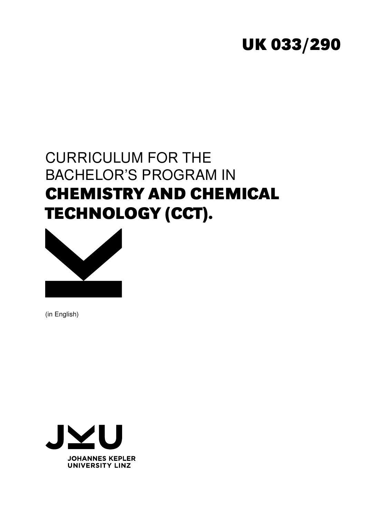# **UK 033/290**

# CURRICULUM FOR THE BACHELOR'S PROGRAM IN **CHEMISTRY AND CHEMICAL TECHNOLOGY (CCT).**



(in English)

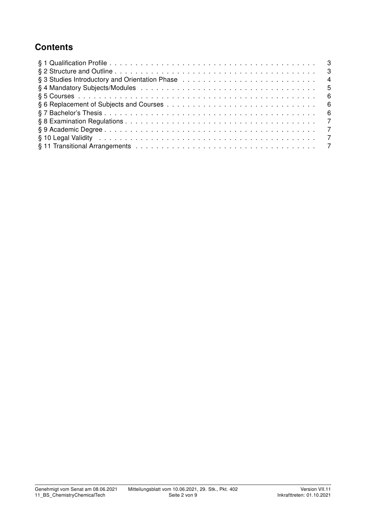# **Contents**

| § 3 Studies Introductory and Orientation Phase enterprised by enterprised by Studies Introductory and Orientation Phase enterprised by enterprised by Studies 4                                                                |  |
|--------------------------------------------------------------------------------------------------------------------------------------------------------------------------------------------------------------------------------|--|
|                                                                                                                                                                                                                                |  |
|                                                                                                                                                                                                                                |  |
|                                                                                                                                                                                                                                |  |
|                                                                                                                                                                                                                                |  |
|                                                                                                                                                                                                                                |  |
|                                                                                                                                                                                                                                |  |
| § 10 Legal Validity enterpreement to the contract of the contract of the contract of the contract of the control of the contract of the contract of the contract of the contract of the contract of the contract of the contra |  |
|                                                                                                                                                                                                                                |  |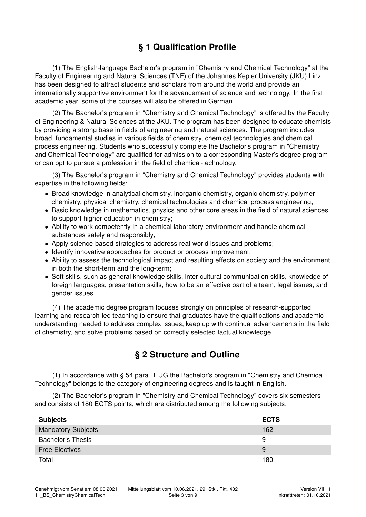# § 1 Qualification Profile

(1) The English-language Bachelor's program in "Chemistry and Chemical Technology" at the Faculty of Engineering and Natural Sciences (TNF) of the Johannes Kepler University (JKU) Linz has been designed to attract students and scholars from around the world and provide an internationally supportive environment for the advancement of science and technology. In the first academic year, some of the courses will also be offered in German.

(2) The Bachelor's program in "Chemistry and Chemical Technology" is offered by the Faculty of Engineering & Natural Sciences at the JKU. The program has been designed to educate chemists by providing a strong base in fields of engineering and natural sciences. The program includes broad, fundamental studies in various fields of chemistry, chemical technologies and chemical process engineering. Students who successfully complete the Bachelor's program in "Chemistry and Chemical Technology" are qualified for admission to a corresponding Master's degree program or can opt to pursue a profession in the field of chemical-technology.

(3) The Bachelor's program in "Chemistry and Chemical Technology" provides students with expertise in the following fields:

- Broad knowledge in analytical chemistry, inorganic chemistry, organic chemistry, polymer chemistry, physical chemistry, chemical technologies and chemical process engineering;
- Basic knowledge in mathematics, physics and other core areas in the field of natural sciences to support higher education in chemistry;
- Ability to work competently in a chemical laboratory environment and handle chemical substances safely and responsibly;
- Apply science-based strategies to address real-world issues and problems;
- Identify innovative approaches for product or process improvement;
- Ability to assess the technological impact and resulting effects on society and the environment in both the short-term and the long-term;
- Soft skills, such as general knowledge skills, inter-cultural communication skills, knowledge of foreign languages, presentation skills, how to be an effective part of a team, legal issues, and gender issues.

(4) The academic degree program focuses strongly on principles of research-supported learning and research-led teaching to ensure that graduates have the qualifications and academic understanding needed to address complex issues, keep up with continual advancements in the field of chemistry, and solve problems based on correctly selected factual knowledge.

#### § 2 Structure and Outline

(1) In accordance with § 54 para. 1 UG the Bachelor's program in "Chemistry and Chemical Technology" belongs to the category of engineering degrees and is taught in English.

(2) The Bachelor's program in "Chemistry and Chemical Technology" covers six semesters and consists of 180 ECTS points, which are distributed among the following subjects:

| <b>Subjects</b>           | <b>ECTS</b> |
|---------------------------|-------------|
| <b>Mandatory Subjects</b> | 162         |
| <b>Bachelor's Thesis</b>  | 9           |
| <b>Free Electives</b>     | 9           |
| Total                     | 180         |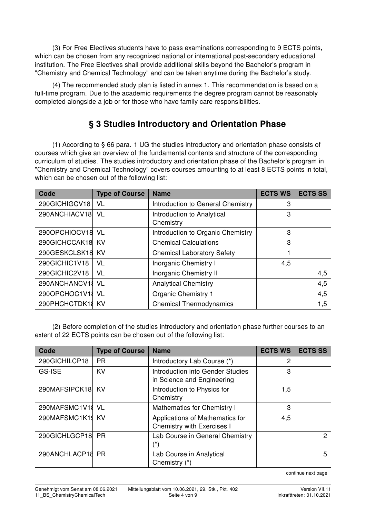(3) For Free Electives students have to pass examinations corresponding to 9 ECTS points, which can be chosen from any recognized national or international post-secondary educational institution. The Free Electives shall provide additional skills beyond the Bachelor's program in "Chemistry and Chemical Technology" and can be taken anytime during the Bachelor's study.

(4) The recommended study plan is listed in annex 1. This recommendation is based on a full-time program. Due to the academic requirements the degree program cannot be reasonably completed alongside a job or for those who have family care responsibilities.

### § 3 Studies Introductory and Orientation Phase

(1) According to § 66 para. 1 UG the studies introductory and orientation phase consists of courses which give an overview of the fundamental contents and structure of the corresponding curriculum of studies. The studies introductory and orientation phase of the Bachelor's program in "Chemistry and Chemical Technology" covers courses amounting to at least 8 ECTS points in total, which can be chosen out of the following list:

| Code             | <b>Type of Course</b> | <b>Name</b>                             | <b>ECTS WS</b> | <b>ECTS SS</b> |
|------------------|-----------------------|-----------------------------------------|----------------|----------------|
| 290GICHIGCV18    | VL                    | Introduction to General Chemistry       | 3              |                |
| 290ANCHIACV18    | VL                    | Introduction to Analytical<br>Chemistry | 3              |                |
| 290OPCHIOCV18    | - VL                  | Introduction to Organic Chemistry       | 3              |                |
| 290GICHCCAK18    | KV                    | <b>Chemical Calculations</b>            | 3              |                |
| 290GESKCLSK18    | <b>KV</b>             | <b>Chemical Laboratory Safety</b>       | 1              |                |
| 290GICHIC1V18    | VL                    | <b>Inorganic Chemistry I</b>            | 4,5            |                |
| 290GICHIC2V18    | VL                    | Inorganic Chemistry II                  |                | 4,5            |
| 290ANCHANCV18    | VL                    | <b>Analytical Chemistry</b>             |                | 4,5            |
| 290OPCHOC1V1     | - VL                  | <b>Organic Chemistry 1</b>              |                | 4,5            |
| 290PHCHCTDK18 KV |                       | <b>Chemical Thermodynamics</b>          |                | 1,5            |

(2) Before completion of the studies introductory and orientation phase further courses to an extent of 22 ECTS points can be chosen out of the following list:

| Code             | <b>Type of Course</b> | <b>Name</b>                                                          | <b>ECTS WS</b> | <b>ECTS SS</b> |
|------------------|-----------------------|----------------------------------------------------------------------|----------------|----------------|
| 290GICHILCP18    | <b>PR</b>             | Introductory Lab Course (*)                                          | 2              |                |
| GS-ISE           | <b>KV</b>             | Introduction into Gender Studies<br>in Science and Engineering       | 3              |                |
| 290MAFSIPCK18    | KV                    | Introduction to Physics for<br>Chemistry                             | 1,5            |                |
| 290MAFSMC1V18 VL |                       | <b>Mathematics for Chemistry I</b>                                   | 3              |                |
| 290MAFSMC1K19 KV |                       | Applications of Mathematics for<br><b>Chemistry with Exercises I</b> | 4,5            |                |
| 290GICHLGCP18    | PR.                   | Lab Course in General Chemistry<br>(*)                               |                | 2              |
| 290ANCHLACP18 PR |                       | Lab Course in Analytical<br>Chemistry (*)                            |                | 5              |

continue next page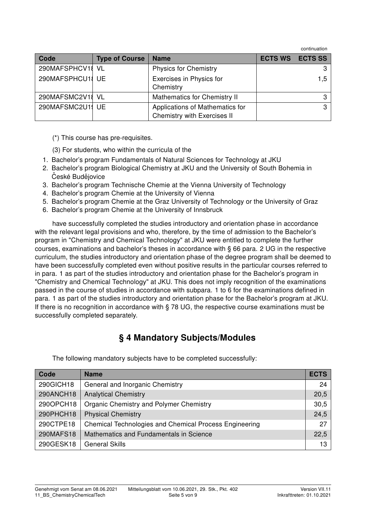continuation

| Code             | <b>Type of Course</b> | <b>Name</b>                                                    | <b>ECTS WS</b> | <b>ECTS SS</b> |
|------------------|-----------------------|----------------------------------------------------------------|----------------|----------------|
| 290MAFSPHCV18 VL |                       | <b>Physics for Chemistry</b>                                   |                | 3              |
| 290MAFSPHCU1 UE  |                       | Exercises in Physics for<br>Chemistry                          |                | 1.5            |
| 290MAFSMC2V18 VL |                       | <b>Mathematics for Chemistry II</b>                            |                | ◠              |
| 290MAFSMC2U1 UE  |                       | Applications of Mathematics for<br>Chemistry with Exercises II |                | ົ              |

(\*) This course has pre-requisites.

(3) For students, who within the curricula of the

- 1. Bachelor's program Fundamentals of Natural Sciences for Technology at JKU
- 2. Bachelor's program Biological Chemistry at JKU and the University of South Bohemia in České Budějovice
- 3. Bachelor's program Technische Chemie at the Vienna University of Technology
- 4. Bachelor's program Chemie at the University of Vienna
- 5. Bachelor's program Chemie at the Graz University of Technology or the University of Graz
- 6. Bachelor's program Chemie at the University of Innsbruck

have successfully completed the studies introductory and orientation phase in accordance with the relevant legal provisions and who, therefore, by the time of admission to the Bachelor's program in "Chemistry and Chemical Technology" at JKU were entitled to complete the further courses, examinations and bachelor's theses in accordance with § 66 para. 2 UG in the respective curriculum, the studies introductory and orientation phase of the degree program shall be deemed to have been successfully completed even without positive results in the particular courses referred to in para. 1 as part of the studies introductory and orientation phase for the Bachelor's program in "Chemistry and Chemical Technology" at JKU. This does not imply recognition of the examinations passed in the course of studies in accordance with subpara. 1 to 6 for the examinations defined in para. 1 as part of the studies introductory and orientation phase for the Bachelor's program at JKU. If there is no recognition in accordance with § 78 UG, the respective course examinations must be successfully completed separately.

#### § 4 Mandatory Subjects/Modules

| Code      | <b>Name</b>                                                   | <b>ECTS</b> |
|-----------|---------------------------------------------------------------|-------------|
| 290GICH18 | General and Inorganic Chemistry                               | 24          |
| 290ANCH18 | <b>Analytical Chemistry</b>                                   | 20,5        |
| 290OPCH18 | Organic Chemistry and Polymer Chemistry                       | 30,5        |
| 290PHCH18 | <b>Physical Chemistry</b>                                     | 24,5        |
| 290CTPE18 | <b>Chemical Technologies and Chemical Process Engineering</b> | 27          |
| 290MAFS18 | Mathematics and Fundamentals in Science                       | 22,5        |
| 290GESK18 | <b>General Skills</b>                                         | 13          |

The following mandatory subjects have to be completed successfully: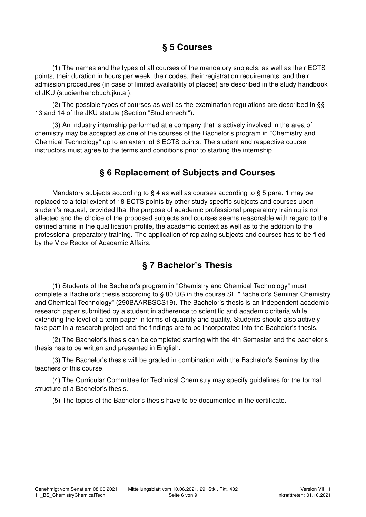# § 5 Courses

(1) The names and the types of all courses of the mandatory subjects, as well as their ECTS points, their duration in hours per week, their codes, their registration requirements, and their admission procedures (in case of limited availability of places) are described in the study handbook of JKU (studienhandbuch.jku.at).

(2) The possible types of courses as well as the examination regulations are described in §§ 13 and 14 of the JKU statute (Section "Studienrecht").

(3) An industry internship performed at a company that is actively involved in the area of chemistry may be accepted as one of the courses of the Bachelor's program in "Chemistry and Chemical Technology" up to an extent of 6 ECTS points. The student and respective course instructors must agree to the terms and conditions prior to starting the internship.

#### § 6 Replacement of Subjects and Courses

Mandatory subjects according to § 4 as well as courses according to § 5 para. 1 may be replaced to a total extent of 18 ECTS points by other study specific subjects and courses upon student's request, provided that the purpose of academic professional preparatory training is not affected and the choice of the proposed subjects and courses seems reasonable with regard to the defined amins in the qualification profile, the academic context as well as to the addition to the professional preparatory training. The application of replacing subjects and courses has to be filed by the Vice Rector of Academic Affairs.

### § 7 Bachelor's Thesis

(1) Students of the Bachelor's program in "Chemistry and Chemical Technology" must complete a Bachelor's thesis according to § 80 UG in the course SE "Bachelor's Seminar Chemistry and Chemical Technology" (290BAARBSCS19). The Bachelor's thesis is an independent academic research paper submitted by a student in adherence to scientific and academic criteria while extending the level of a term paper in terms of quantity and quality. Students should also actively take part in a research project and the findings are to be incorporated into the Bachelor's thesis.

(2) The Bachelor's thesis can be completed starting with the 4th Semester and the bachelor's thesis has to be written and presented in English.

(3) The Bachelor's thesis will be graded in combination with the Bachelor's Seminar by the teachers of this course.

(4) The Curricular Committee for Technical Chemistry may specify guidelines for the formal structure of a Bachelor's thesis.

(5) The topics of the Bachelor's thesis have to be documented in the certificate.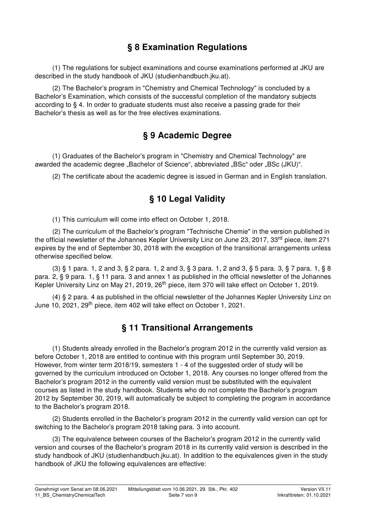# § 8 Examination Regulations

(1) The regulations for subject examinations and course examinations performed at JKU are described in the study handbook of JKU (studienhandbuch.jku.at).

(2) The Bachelor's program in "Chemistry and Chemical Technology" is concluded by a Bachelor's Examination, which consists of the successful completion of the mandatory subjects according to § 4. In order to graduate students must also receive a passing grade for their Bachelor's thesis as well as for the free electives examinations.

### § 9 Academic Degree

(1) Graduates of the Bachelor's program in "Chemistry and Chemical Technology" are awarded the academic degree "Bachelor of Science", abbreviated "BSc" oder "BSc (JKU)".

(2) The certificate about the academic degree is issued in German and in English translation.

### § 10 Legal Validity

(1) This curriculum will come into effect on October 1, 2018.

(2) The curriculum of the Bachelor's program "Technische Chemie" in the version published in the official newsletter of the Johannes Kepler University Linz on June 23, 2017, 33<sup>rd</sup> piece, item 271 expires by the end of September 30, 2018 with the exception of the transitional arrangements unless otherwise specified below.

(3) § 1 para. 1, 2 and 3, § 2 para. 1, 2 and 3, § 3 para. 1, 2 and 3, § 5 para. 3, § 7 para. 1, § 8 para. 2, § 9 para. 1, § 11 para. 3 and annex 1 as published in the official newsletter of the Johannes Kepler University Linz on May 21, 2019, 26<sup>th</sup> piece, item 370 will take effect on October 1, 2019.

(4) § 2 para. 4 as published in the official newsletter of the Johannes Kepler University Linz on June 10, 2021, 29<sup>th</sup> piece, item 402 will take effect on October 1, 2021.

### § 11 Transitional Arrangements

(1) Students already enrolled in the Bachelor's program 2012 in the currently valid version as before October 1, 2018 are entitled to continue with this program until September 30, 2019. However, from winter term 2018/19, semesters 1 - 4 of the suggested order of study will be governed by the curriculum introduced on October 1, 2018. Any courses no longer offered from the Bachelor's program 2012 in the currently valid version must be substituted with the equivalent courses as listed in the study handbook. Students who do not complete the Bachelor's program 2012 by September 30, 2019, will automatically be subject to completing the program in accordance to the Bachelor's program 2018.

(2) Students enrolled in the Bachelor's program 2012 in the currently valid version can opt for switching to the Bachelor's program 2018 taking para. 3 into account.

(3) The equivalence between courses of the Bachelor's program 2012 in the currently valid version and courses of the Bachelor's program 2018 in its currently valid version is described in the study handbook of JKU (studienhandbuch.jku.at). In addition to the equivalences given in the study handbook of JKU the following equivalences are effective: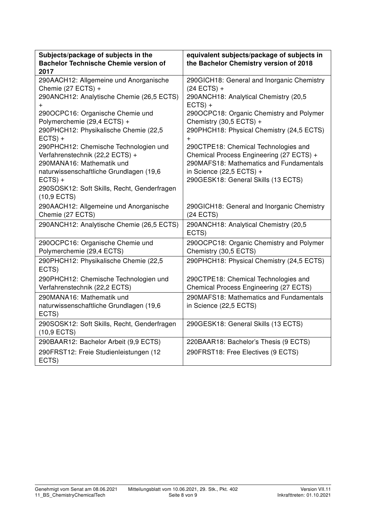| Subjects/package of subjects in the<br><b>Bachelor Technische Chemie version of</b><br>2017                                                                                                                  | equivalent subjects/package of subjects in<br>the Bachelor Chemistry version of 2018                                                                                                             |
|--------------------------------------------------------------------------------------------------------------------------------------------------------------------------------------------------------------|--------------------------------------------------------------------------------------------------------------------------------------------------------------------------------------------------|
| 290AACH12: Allgemeine und Anorganische<br>Chemie (27 ECTS) +<br>290ANCH12: Analytische Chemie (26,5 ECTS)<br>$^{+}$                                                                                          | 290GICH18: General and Inorganic Chemistry<br>$(24$ ECTS) +<br>290ANCH18: Analytical Chemistry (20,5<br>$ECTS) +$                                                                                |
| 290OCPC16: Organische Chemie und<br>Polymerchemie (29,4 ECTS) +<br>290PHCH12: Physikalische Chemie (22,5                                                                                                     | 290OCPC18: Organic Chemistry and Polymer<br>Chemistry (30,5 ECTS) +<br>290PHCH18: Physical Chemistry (24,5 ECTS)                                                                                 |
| $ECTS) +$                                                                                                                                                                                                    | $\ddot{}$                                                                                                                                                                                        |
| 290PHCH12: Chemische Technologien und<br>Verfahrenstechnik (22,2 ECTS) +<br>290MANA16: Mathematik und<br>naturwissenschaftliche Grundlagen (19,6<br>$ECTS) +$<br>290SOSK12: Soft Skills, Recht, Genderfragen | 290CTPE18: Chemical Technologies and<br>Chemical Process Engineering (27 ECTS) +<br>290MAFS18: Mathematics and Fundamentals<br>in Science $(22,5$ ECTS) +<br>290GESK18: General Skills (13 ECTS) |
| $(10, 9$ ECTS)<br>290AACH12: Allgemeine und Anorganische<br>Chemie (27 ECTS)                                                                                                                                 | 290GICH18: General and Inorganic Chemistry<br>$(24$ ECTS)                                                                                                                                        |
| 290ANCH12: Analytische Chemie (26,5 ECTS)                                                                                                                                                                    | 290ANCH18: Analytical Chemistry (20,5<br>ECTS)                                                                                                                                                   |
| 290OCPC16: Organische Chemie und<br>Polymerchemie (29,4 ECTS)                                                                                                                                                | 290OCPC18: Organic Chemistry and Polymer<br>Chemistry (30,5 ECTS)                                                                                                                                |
| 290PHCH12: Physikalische Chemie (22,5<br>ECTS)                                                                                                                                                               | 290PHCH18: Physical Chemistry (24,5 ECTS)                                                                                                                                                        |
| 290PHCH12: Chemische Technologien und<br>Verfahrenstechnik (22,2 ECTS)                                                                                                                                       | 290CTPE18: Chemical Technologies and<br>Chemical Process Engineering (27 ECTS)                                                                                                                   |
| 290MANA16: Mathematik und<br>naturwissenschaftliche Grundlagen (19,6<br>ECTS)                                                                                                                                | 290MAFS18: Mathematics and Fundamentals<br>in Science (22,5 ECTS)                                                                                                                                |
| 290SOSK12: Soft Skills, Recht, Genderfragen<br>$(10, 9$ ECTS)                                                                                                                                                | 290GESK18: General Skills (13 ECTS)                                                                                                                                                              |
| 290BAAR12: Bachelor Arbeit (9,9 ECTS)                                                                                                                                                                        | 220BAAR18: Bachelor's Thesis (9 ECTS)                                                                                                                                                            |
| 290FRST12: Freie Studienleistungen (12<br>ECTS)                                                                                                                                                              | 290FRST18: Free Electives (9 ECTS)                                                                                                                                                               |